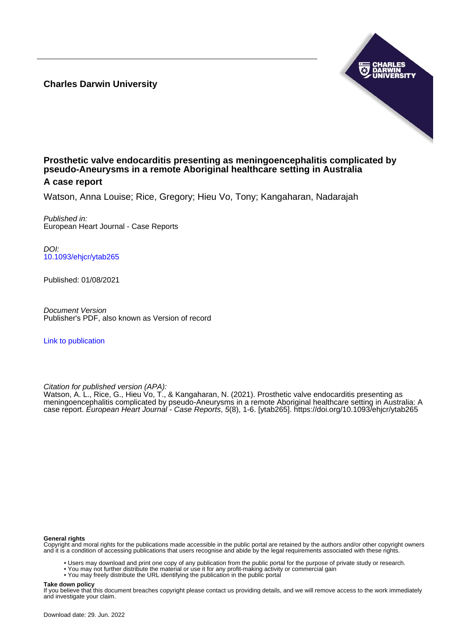**Charles Darwin University**



### **Prosthetic valve endocarditis presenting as meningoencephalitis complicated by pseudo-Aneurysms in a remote Aboriginal healthcare setting in Australia A case report**

Watson, Anna Louise; Rice, Gregory; Hieu Vo, Tony; Kangaharan, Nadarajah

Published in: European Heart Journal - Case Reports

DOI: [10.1093/ehjcr/ytab265](https://doi.org/10.1093/ehjcr/ytab265)

Published: 01/08/2021

Document Version Publisher's PDF, also known as Version of record

[Link to publication](https://researchers.cdu.edu.au/en/publications/cccb57ae-e7ce-4a45-9c6a-1faeddbaf31e)

Citation for published version (APA):

Watson, A. L., Rice, G., Hieu Vo, T., & Kangaharan, N. (2021). Prosthetic valve endocarditis presenting as meningoencephalitis complicated by pseudo-Aneurysms in a remote Aboriginal healthcare setting in Australia: A case report. European Heart Journal - Case Reports, 5(8), 1-6. [ytab265].<https://doi.org/10.1093/ehjcr/ytab265>

#### **General rights**

Copyright and moral rights for the publications made accessible in the public portal are retained by the authors and/or other copyright owners and it is a condition of accessing publications that users recognise and abide by the legal requirements associated with these rights.

- Users may download and print one copy of any publication from the public portal for the purpose of private study or research.
- You may not further distribute the material or use it for any profit-making activity or commercial gain
- You may freely distribute the URL identifying the publication in the public portal

#### **Take down policy**

If you believe that this document breaches copyright please contact us providing details, and we will remove access to the work immediately and investigate your claim.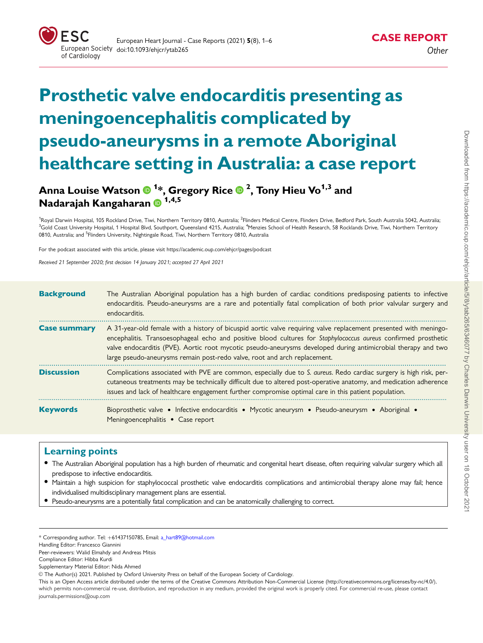

# Prosthetic valve endocarditis presenting as meningoencephalitis complicated by pseudo-aneurysms in a remote Aboriginal healthcare setting in Australia: a case report

# Anna Louise Watson <sup>1</sup> \*, Gregory Rice <sup>2</sup> , Tony Hieu Vo1,3 and Nadarajah Kangaharan <sup>1,4,5</sup>

<sup>1</sup>Royal Darwin Hospital, 105 Rockland Drive, Tiwi, Northern Territory 0810, Australia; <sup>2</sup>Flinders Medical Centre, Flinders Drive, Bedford Park, South Australia 5042, Australia <sup>3</sup>Gold Coast University Hospital, 1 Hospital Blvd, Southport, Queensland 4215, Australia; <sup>4</sup>Menzies School of Health Research, 58 Rocklands Drive, Tiwi, Northern Territory 0810, Australia; and <sup>5</sup>Flinders University, Nightingale Road, Tiwi, Northern Territory 0810, Australia

For the podcast associated with this article, please visit<https://academic.oup.com/ehjcr/pages/podcast>

Received 21 September 2020; first decision 14 January 2021; accepted 27 April 2021

| <b>Background</b>   | The Australian Aboriginal population has a high burden of cardiac conditions predisposing patients to infective<br>endocarditis. Pseudo-aneurysms are a rare and potentially fatal complication of both prior valvular surgery and<br>endocarditis.                                                                                                                                                                              |
|---------------------|----------------------------------------------------------------------------------------------------------------------------------------------------------------------------------------------------------------------------------------------------------------------------------------------------------------------------------------------------------------------------------------------------------------------------------|
| <b>Case summary</b> | A 31-year-old female with a history of bicuspid aortic valve requiring valve replacement presented with meningo-<br>encephalitis. Transoesophageal echo and positive blood cultures for Staphylococcus aureus confirmed prosthetic<br>valve endocarditis (PVE). Aortic root mycotic pseudo-aneurysms developed during antimicrobial therapy and two<br>large pseudo-aneurysms remain post-redo valve, root and arch replacement. |
| <b>Discussion</b>   | Complications associated with PVE are common, especially due to S. aureus. Redo cardiac surgery is high risk, per-<br>cutaneous treatments may be technically difficult due to altered post-operative anatomy, and medication adherence<br>issues and lack of healthcare engagement further compromise optimal care in this patient population.                                                                                  |
| <b>Keywords</b>     | Bioprosthetic valve • Infective endocarditis • Mycotic aneurysm • Pseudo-aneurysm • Aboriginal •<br>Meningoencephalitis • Case report                                                                                                                                                                                                                                                                                            |

### Learning points

- The Australian Aboriginal population has a high burden of rheumatic and congenital heart disease, often requiring valvular surgery which all predispose to infective endocarditis.
- Maintain a high suspicion for staphylococcal prosthetic valve endocarditis complications and antimicrobial therapy alone may fail; hence individualised multidisciplinary management plans are essential.
- Pseudo-aneurysms are a potentially fatal complication and can be anatomically challenging to correct.

<sup>\*</sup> Corresponding author. Tel: þ61437150785, Email: a\_hart89@hotmail.com

Handling Editor: Francesco Giannini

Peer-reviewers: Walid Elmahdy and Andreas Mitsis

Compliance Editor: Hibba Kurdi

Supplementary Material Editor: Nida Ahmed

V<sup>C</sup> The Author(s) 2021. Published by Oxford University Press on behalf of the European Society of Cardiology.

This is an Open Access article distributed under the terms of the Creative Commons Attribution Non-Commercial License ([http://creativecommons.org/licenses/by-nc/4.0/](Undefined namespace prefix
xmlXPathCompOpEval: parameter error
xmlXPathEval: evaluation failed
)), which permits non-commercial re-use, distribution, and reproduction in any medium, provided the original work is properly cited. For commercial re-use, please contact journals.permissions@oup.com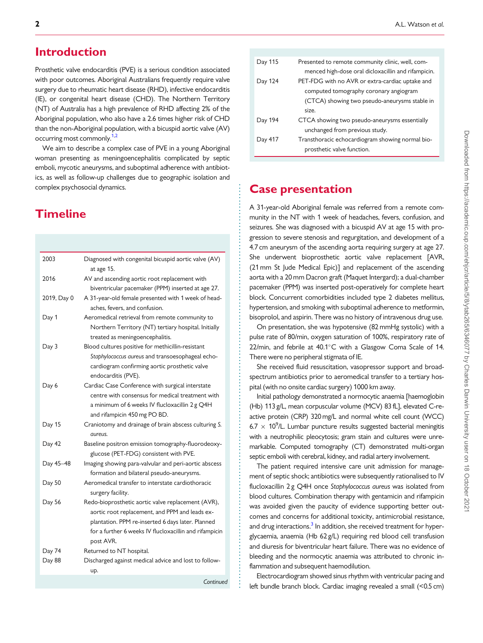## <span id="page-2-0"></span>Introduction

Prosthetic valve endocarditis (PVE) is a serious condition associated with poor outcomes. Aboriginal Australians frequently require valve surgery due to rheumatic heart disease (RHD), infective endocarditis (IE), or congenital heart disease (CHD). The Northern Territory (NT) of Australia has a high prevalence of RHD affecting 2% of the Aboriginal population, who also have a 2.6 times higher risk of CHD than the non-Aboriginal population, with a bicuspid aortic valve (AV) occurring most commonly.<sup>1,2</sup>

We aim to describe a complex case of PVE in a young Aboriginal woman presenting as meningoencephalitis complicated by septic emboli, mycotic aneurysms, and suboptimal adherence with antibiotics, as well as follow-up challenges due to geographic isolation and complex psychosocial dynamics.

# **Timeline**

| 2003        | Diagnosed with congenital bicuspid aortic valve (AV)<br>at age 15.  |
|-------------|---------------------------------------------------------------------|
| 2016        | AV and ascending aortic root replacement with                       |
|             | biventricular pacemaker (PPM) inserted at age 27.                   |
| 2019, Day 0 | A 31-year-old female presented with 1 week of head-                 |
|             |                                                                     |
|             | aches, fevers, and confusion.                                       |
| Day 1       | Aeromedical retrieval from remote community to                      |
|             | Northern Territory (NT) tertiary hospital. Initially                |
|             | treated as meningoencephalitis.                                     |
| Day 3       | Blood cultures positive for methicillin-resistant                   |
|             | Staphylococcus aureus and transoesophageal echo-                    |
|             | cardiogram confirming aortic prosthetic valve                       |
|             | endocarditis (PVE).                                                 |
| Day 6       | Cardiac Case Conference with surgical interstate                    |
|             | centre with consensus for medical treatment with                    |
|             | a minimum of 6 weeks IV flucloxacillin 2 g Q4H                      |
|             | and rifampicin 450 mg PO BD.                                        |
| Day 15      | Craniotomy and drainage of brain abscess culturing S.               |
|             | aureus.                                                             |
| Day 42      | Baseline positron emission tomography-fluorodeoxy-                  |
|             | glucose (PET-FDG) consistent with PVE.                              |
| Day 45-48   | Imaging showing para-valvular and peri-aortic abscess               |
|             | formation and bilateral pseudo-aneurysms.                           |
| Day 50      | Aeromedical transfer to interstate cardiothoracic                   |
|             | surgery facility.                                                   |
| Day 56      | Redo-bioprosthetic aortic valve replacement (AVR),                  |
|             |                                                                     |
|             | aortic root replacement, and PPM and leads ex-                      |
|             | plantation. PPM re-inserted 6 days later. Planned                   |
|             | for a further 6 weeks IV flucloxacillin and rifampicin<br>post AVR. |
| Day 74      | Returned to NT hospital.                                            |
| Day 88      | Discharged against medical advice and lost to follow-               |
|             | up.                                                                 |
|             | Continued                                                           |

| Day 115 | Presented to remote community clinic, well, com-    |
|---------|-----------------------------------------------------|
|         | menced high-dose oral dicloxacillin and rifampicin. |
| Day 124 | PET-FDG with no AVR or extra-cardiac uptake and     |
|         | computed tomography coronary angiogram              |
|         | (CTCA) showing two pseudo-aneurysms stable in       |
|         | size.                                               |
| Day 194 | CTCA showing two pseudo-aneurysms essentially       |
|         | unchanged from previous study.                      |
| Day 417 | Transthoracic echocardiogram showing normal bio-    |
|         | prosthetic valve function.                          |

## Case presentation

A 31-year-old Aboriginal female was referred from a remote community in the NT with 1 week of headaches, fevers, confusion, and seizures. She was diagnosed with a bicuspid AV at age 15 with progression to severe stenosis and regurgitation, and development of a 4.7 cm aneurysm of the ascending aorta requiring surgery at age 27. She underwent bioprosthetic aortic valve replacement [AVR, (21 mm St Jude Medical Epic)] and replacement of the ascending aorta with a 20 mm Dacron graft (Maquet Intergard); a dual-chamber pacemaker (PPM) was inserted post-operatively for complete heart block. Concurrent comorbidities included type 2 diabetes mellitus, hypertension, and smoking with suboptimal adherence to metformin, bisoprolol, and aspirin. There was no history of intravenous drug use.

On presentation, she was hypotensive (82 mmHg systolic) with a pulse rate of 80/min, oxygen saturation of 100%, respiratory rate of 22/min, and febrile at 40.1°C with a Glasgow Coma Scale of 14. There were no peripheral stigmata of IE.

She received fluid resuscitation, vasopressor support and broadspectrum antibiotics prior to aeromedical transfer to a tertiary hospital (with no onsite cardiac surgery) 1000 km away.

Initial pathology demonstrated a normocytic anaemia [haemoglobin (Hb) 113 g/L, mean corpuscular volume (MCV) 83 fL], elevated C-reactive protein (CRP) 320 mg/L and normal white cell count (WCC) 6.7  $\times$  10<sup>9</sup>/L. Lumbar puncture results suggested bacterial meningitis with a neutrophilic pleocytosis; gram stain and cultures were unremarkable. Computed tomography (CT) demonstrated multi-organ septic emboli with cerebral, kidney, and radial artery involvement.

The patient required intensive care unit admission for management of septic shock; antibiotics were subsequently rationalised to IV flucloxacillin 2 g Q4H once Staphylococcus aureus was isolated from blood cultures. Combination therapy with gentamicin and rifampicin was avoided given the paucity of evidence supporting better outcomes and concerns for additional toxicity, antimicrobial resistance, and drug interactions.<sup>3</sup> In addition, she received treatment for hyperglycaemia, anaemia (Hb 62 g/L) requiring red blood cell transfusion and diuresis for biventricular heart failure. There was no evidence of bleeding and the normocytic anaemia was attributed to chronic inflammation and subsequent haemodilution.

Electrocardiogram showed sinus rhythm with ventricular pacing and left bundle branch block. Cardiac imaging revealed a small (<0.5 cm)

. . . . . . . . . . . . . . . . . . . . . . . . . . . . . . . . . . . . . . . . . . . . . . . . . . . . . . . . . . . . . . . . . . . . . . . . . . . . . . . . . . . . . . . . . . . . . . . . . . . . . . . . . . . . . . . . . . . . . . . . . . . . . . .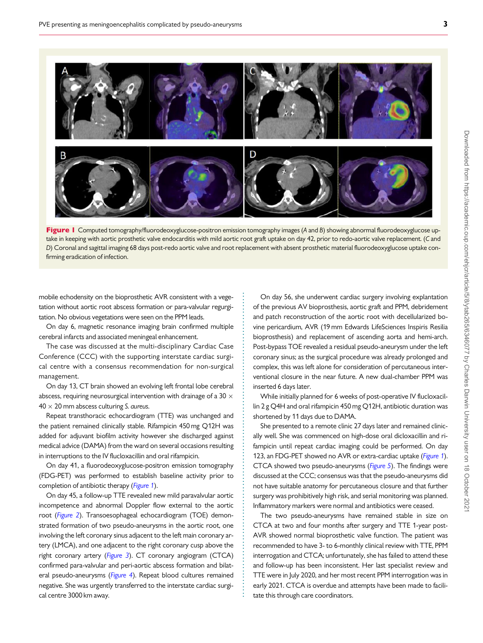

Figure 1 Computed tomography/fluorodeoxyglucose-positron emission tomography images (A and B) showing abnormal fluorodeoxyglucose uptake in keeping with aortic prosthetic valve endocarditis with mild aortic root graft uptake on day 42, prior to redo-aortic valve replacement. (C and D) Coronal and sagittal imaging 68 days post-redo aortic valve and root replacement with absent prosthetic material fluorodeoxyglucose uptake confirming eradication of infection.

. . . . . . . . . . . . . . . . . . . . . . . . . . . . . . . . . . . . . . . . . . . . . . . . . . . . . . . . . . . . . . . . . . . . . . . . . . . . . . . . . . . . . . . . . . . . . . .

. mobile echodensity on the bioprosthetic AVR consistent with a vegetation without aortic root abscess formation or para-valvular regurgitation. No obvious vegetations were seen on the PPM leads.

On day 6, magnetic resonance imaging brain confirmed multiple cerebral infarcts and associated meningeal enhancement.

The case was discussed at the multi-disciplinary Cardiac Case Conference (CCC) with the supporting interstate cardiac surgical centre with a consensus recommendation for non-surgical management.

On day 13, CT brain showed an evolving left frontal lobe cerebral abscess, requiring neurosurgical intervention with drainage of a 30  $\times$  $40 \times 20$  mm abscess culturing S. aureus.

Repeat transthoracic echocardiogram (TTE) was unchanged and the patient remained clinically stable. Rifampicin 450 mg Q12H was added for adjuvant biofilm activity however she discharged against medical advice (DAMA) from the ward on several occasions resulting in interruptions to the IV flucloxacillin and oral rifampicin.

On day 41, a fluorodeoxyglucose-positron emission tomography (FDG-PET) was performed to establish baseline activity prior to completion of antibiotic therapy (Figure 1).

On day 45, a follow-up TTE revealed new mild paravalvular aortic incompetence and abnormal Doppler flow external to the aortic root ([Figure 2](#page-4-0)). Transoesophageal echocardiogram (TOE) demonstrated formation of two pseudo-aneurysms in the aortic root, one involving the left coronary sinus adjacent to the left main coronary artery (LMCA), and one adjacent to the right coronary cusp above the right coronary artery ([Figure 3](#page-4-0)). CT coronary angiogram (CTCA) confirmed para-valvular and peri-aortic abscess formation and bilateral pseudo-aneurysms ([Figure 4](#page-5-0)). Repeat blood cultures remained negative. She was urgently transferred to the interstate cardiac surgical centre 3000 km away.

On day 56, she underwent cardiac surgery involving explantation of the previous AV bioprosthesis, aortic graft and PPM, debridement and patch reconstruction of the aortic root with decellularized bovine pericardium, AVR (19 mm Edwards LifeSciences Inspiris Resilia bioprosthesis) and replacement of ascending aorta and hemi-arch. Post-bypass TOE revealed a residual pseudo-aneurysm under the left coronary sinus; as the surgical procedure was already prolonged and complex, this was left alone for consideration of percutaneous interventional closure in the near future. A new dual-chamber PPM was inserted 6 days later.

While initially planned for 6 weeks of post-operative IV flucloxacillin 2 g Q4H and oral rifampicin 450 mg Q12H, antibiotic duration was shortened by 11 days due to DAMA.

She presented to a remote clinic 27 days later and remained clinically well. She was commenced on high-dose oral dicloxacillin and rifampicin until repeat cardiac imaging could be performed. On day 123, an FDG-PET showed no AVR or extra-cardiac uptake (Figure 1). CTCA showed two pseudo-aneurysms ([Figure 5](#page-5-0)). The findings were discussed at the CCC; consensus was that the pseudo-aneurysms did not have suitable anatomy for percutaneous closure and that further surgery was prohibitively high risk, and serial monitoring was planned. Inflammatory markers were normal and antibiotics were ceased.

The two pseudo-aneurysms have remained stable in size on CTCA at two and four months after surgery and TTE 1-year post-AVR showed normal bioprosthetic valve function. The patient was recommended to have 3- to 6-monthly clinical review with TTE, PPM interrogation and CTCA; unfortunately, she has failed to attend these and follow-up has been inconsistent. Her last specialist review and TTE were in July 2020, and her most recent PPM interrogation was in early 2021. CTCA is overdue and attempts have been made to facilitate this through care coordinators.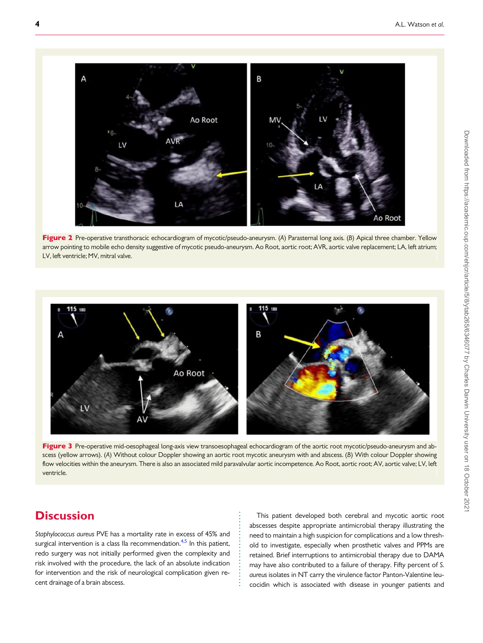<span id="page-4-0"></span>

Figure 2 Pre-operative transthoracic echocardiogram of mycotic/pseudo-aneurysm. (A) Parasternal long axis. (B) Apical three chamber. Yellow arrow pointing to mobile echo density suggestive of mycotic pseudo-aneurysm. Ao Root, aortic root; AVR, aortic valve replacement; LA, left atrium; LV, left ventricle; MV, mitral valve.



Figure 3 Pre-operative mid-oesophageal long-axis view transoesophageal echocardiogram of the aortic root mycotic/pseudo-aneurysm and abscess (yellow arrows). (A) Without colour Doppler showing an aortic root mycotic aneurysm with and abscess. (B) With colour Doppler showing flow velocities within the aneurysm. There is also an associated mild paravalvular aortic incompetence. Ao Root, aortic root; AV, aortic valve; LV, left ventricle.

. . . . . . . . . . . . . . . . . . . . . . .

# **Discussion**

Staphylococcus aureus PVE has a mortality rate in excess of 45% and surgical intervention is a class IIa recommendation. $4,5$  $4,5$  In this patient, redo surgery was not initially performed given the complexity and risk involved with the procedure, the lack of an absolute indication for intervention and the risk of neurological complication given recent drainage of a brain abscess.

This patient developed both cerebral and mycotic aortic root abscesses despite appropriate antimicrobial therapy illustrating the need to maintain a high suspicion for complications and a low threshold to investigate, especially when prosthetic valves and PPMs are retained. Brief interruptions to antimicrobial therapy due to DAMA may have also contributed to a failure of therapy. Fifty percent of S. aureus isolates in NT carry the virulence factor Panton-Valentine leucocidin which is associated with disease in younger patients and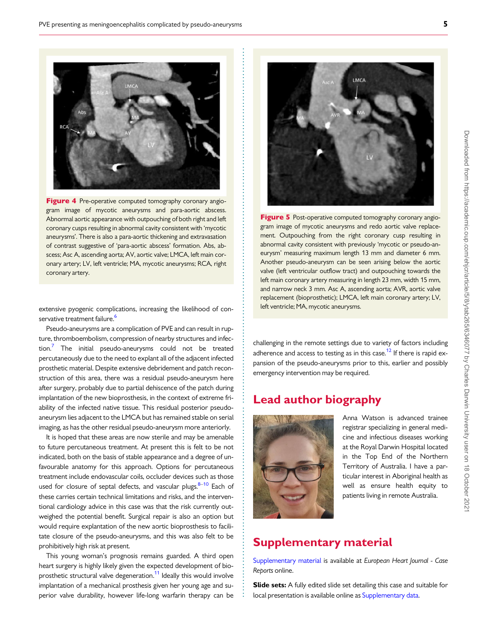<span id="page-5-0"></span>

Figure 4 Pre-operative computed tomography coronary angiogram image of mycotic aneurysms and para-aortic abscess. Abnormal aortic appearance with outpouching of both right and left coronary cusps resulting in abnormal cavity consistent with 'mycotic aneurysms'. There is also a para-aortic thickening and extravasation of contrast suggestive of 'para-aortic abscess' formation. Abs, abscess; Asc A, ascending aorta; AV, aortic valve; LMCA, left main coronary artery; LV, left ventricle; MA, mycotic aneurysms; RCA, right coronary artery.

extensive pyogenic complications, increasing the likelihood of con-servative treatment failure.<sup>[6](#page-6-0)</sup>

Pseudo-aneurysms are a complication of PVE and can result in rupture, thromboembolism, compression of nearby structures and infection[.7](#page-6-0) The initial pseudo-aneurysms could not be treated percutaneously due to the need to explant all of the adjacent infected prosthetic material. Despite extensive debridement and patch reconstruction of this area, there was a residual pseudo-aneurysm here after surgery, probably due to partial dehiscence of the patch during implantation of the new bioprosthesis, in the context of extreme friability of the infected native tissue. This residual posterior pseudoaneurysm lies adjacent to the LMCA but has remained stable on serial imaging, as has the other residual pseudo-aneurysm more anteriorly.

It is hoped that these areas are now sterile and may be amenable to future percutaneous treatment. At present this is felt to be not indicated, both on the basis of stable appearance and a degree of unfavourable anatomy for this approach. Options for percutaneous treatment include endovascular coils, occluder devices such as those used for closure of septal defects, and vascular plugs. $8-10$  $8-10$  Each of these carries certain technical limitations and risks, and the interventional cardiology advice in this case was that the risk currently outweighed the potential benefit. Surgical repair is also an option but would require explantation of the new aortic bioprosthesis to facilitate closure of the pseudo-aneurysms, and this was also felt to be prohibitively high risk at present.

This young woman's prognosis remains guarded. A third open heart surgery is highly likely given the expected development of bioprosthetic structural valve degeneration.<sup>11</sup> Ideally this would involve implantation of a mechanical prosthesis given her young age and superior valve durability, however life-long warfarin therapy can be



Figure 5 Post-operative computed tomography coronary angiogram image of mycotic aneurysms and redo aortic valve replacement. Outpouching from the right coronary cusp resulting in abnormal cavity consistent with previously 'mycotic or pseudo-aneurysm' measuring maximum length 13 mm and diameter 6 mm. Another pseudo-aneurysm can be seen arising below the aortic valve (left ventricular outflow tract) and outpouching towards the left main coronary artery measuring in length 23 mm, width 15 mm, and narrow neck 3 mm. Asc A, ascending aorta; AVR, aortic valve replacement (bioprosthetic); LMCA, left main coronary artery; LV, left ventricle; MA, mycotic aneurysms.

challenging in the remote settings due to variety of factors including adherence and access to testing as in this case.<sup>12</sup> If there is rapid expansion of the pseudo-aneurysms prior to this, earlier and possibly emergency intervention may be required.

# Lead author biography



. . . . . . . . . . . . . . . . . . . .

. . . . . . . . . . . . . . . . . . . . . . . . . . . . . . . . . . . . . . . . . . . . . . . . . . . . . . . . . . . . . . . . . . . . . . . . . . . . . . . . . . . . . . . . . . . .

. . . . . . . . . . . . . . . . . . . . . . . . . . . . . . . . . . . . . . . . . . . . . . . . . . . . . . . . . . . .

Anna Watson is advanced trainee registrar specializing in general medicine and infectious diseases working at the Royal Darwin Hospital located in the Top End of the Northern Territory of Australia. I have a particular interest in Aboriginal health as well as ensure health equity to patients living in remote Australia.

## Supplementary material

[Supplementary material](https://academic.oup.com/ehjcr/article-lookup/doi/10.1093/ehjcr/ytab265#supplementary-data) is available at European Heart Journal - Case Reports online.

Slide sets: A fully edited slide set detailing this case and suitable for local presentation is available online as [Supplementary data](https://academic.oup.com/ehjcr/article-lookup/doi/10.1093/ehjcr/ytab265#supplementary-data).